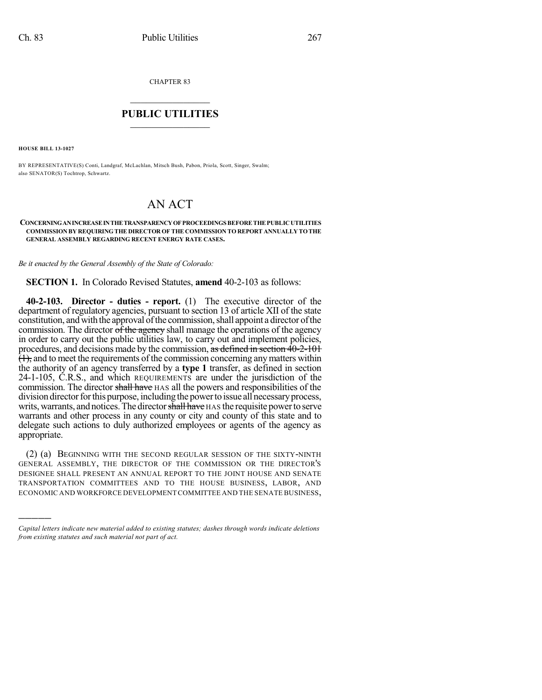CHAPTER 83

## $\overline{\phantom{a}}$  . The set of the set of the set of the set of the set of the set of the set of the set of the set of the set of the set of the set of the set of the set of the set of the set of the set of the set of the set o **PUBLIC UTILITIES** \_\_\_\_\_\_\_\_\_\_\_\_\_\_\_

**HOUSE BILL 13-1027**

)))))

BY REPRESENTATIVE(S) Conti, Landgraf, McLachlan, Mitsch Bush, Pabon, Priola, Scott, Singer, Swalm; also SENATOR(S) Tochtrop, Schwartz.

## AN ACT

## **CONCERNINGANINCREASEINTHETRANSPARENCYOF PROCEEDINGS BEFORE THE PUBLICUTILITIES COMMISSION BY REQUIRINGTHE DIRECTOR OF THE COMMISSION TO REPORT ANNUALLY TOTHE GENERAL ASSEMBLY REGARDING RECENT ENERGY RATE CASES.**

*Be it enacted by the General Assembly of the State of Colorado:*

**SECTION 1.** In Colorado Revised Statutes, **amend** 40-2-103 as follows:

**40-2-103. Director - duties - report.** (1) The executive director of the department of regulatory agencies, pursuant to section 13 of article XII of the state constitution, and with the approval of the commission, shall appoint a director of the commission. The director  $\hat{\sigma}$  the agency shall manage the operations of the agency in order to carry out the public utilities law, to carry out and implement policies, procedures, and decisions made by the commission, as defined in section 40-2-101  $\overline{(1)}$ , and to meet the requirements of the commission concerning any matters within the authority of an agency transferred by a **type 1** transfer, as defined in section 24-1-105, C.R.S., and which REQUIREMENTS are under the jurisdiction of the commission. The director shall have HAS all the powers and responsibilities of the division director for this purpose, including the power to issue all necessary process, writs, warrants, and notices. The director shall have HAS the requisite power to serve warrants and other process in any county or city and county of this state and to delegate such actions to duly authorized employees or agents of the agency as appropriate.

(2) (a) BEGINNING WITH THE SECOND REGULAR SESSION OF THE SIXTY-NINTH GENERAL ASSEMBLY, THE DIRECTOR OF THE COMMISSION OR THE DIRECTOR'S DESIGNEE SHALL PRESENT AN ANNUAL REPORT TO THE JOINT HOUSE AND SENATE TRANSPORTATION COMMITTEES AND TO THE HOUSE BUSINESS, LABOR, AND ECONOMIC AND WORKFORCE DEVELOPMENT COMMITTEE AND THE SENATE BUSINESS,

*Capital letters indicate new material added to existing statutes; dashes through words indicate deletions from existing statutes and such material not part of act.*